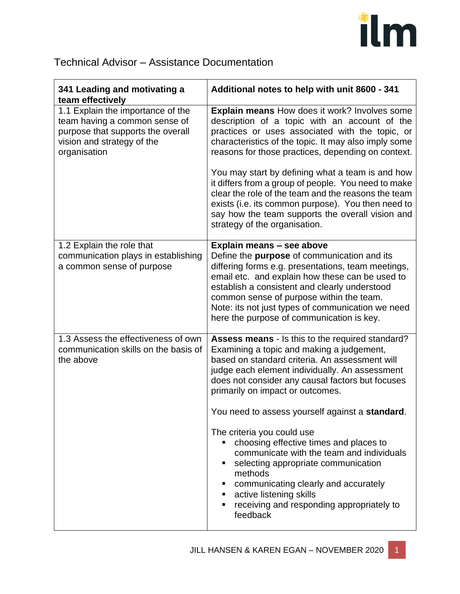

## Technical Advisor – Assistance Documentation

| 341 Leading and motivating a<br>team effectively                                                                                                      | Additional notes to help with unit 8600 - 341                                                                                                                                                                                                                                                                                                                                    |
|-------------------------------------------------------------------------------------------------------------------------------------------------------|----------------------------------------------------------------------------------------------------------------------------------------------------------------------------------------------------------------------------------------------------------------------------------------------------------------------------------------------------------------------------------|
| 1.1 Explain the importance of the<br>team having a common sense of<br>purpose that supports the overall<br>vision and strategy of the<br>organisation | <b>Explain means How does it work? Involves some</b><br>description of a topic with an account of the<br>practices or uses associated with the topic, or<br>characteristics of the topic. It may also imply some<br>reasons for those practices, depending on context.                                                                                                           |
|                                                                                                                                                       | You may start by defining what a team is and how<br>it differs from a group of people. You need to make<br>clear the role of the team and the reasons the team<br>exists (i.e. its common purpose). You then need to<br>say how the team supports the overall vision and<br>strategy of the organisation.                                                                        |
| 1.2 Explain the role that<br>communication plays in establishing<br>a common sense of purpose                                                         | Explain means - see above<br>Define the purpose of communication and its<br>differing forms e.g. presentations, team meetings,<br>email etc. and explain how these can be used to<br>establish a consistent and clearly understood<br>common sense of purpose within the team.<br>Note: its not just types of communication we need<br>here the purpose of communication is key. |
| 1.3 Assess the effectiveness of own<br>communication skills on the basis of<br>the above                                                              | Assess means - Is this to the required standard?<br>Examining a topic and making a judgement,<br>based on standard criteria. An assessment will<br>judge each element individually. An assessment<br>does not consider any causal factors but focuses<br>primarily on impact or outcomes.                                                                                        |
|                                                                                                                                                       | You need to assess yourself against a standard.<br>The criteria you could use<br>choosing effective times and places to<br>communicate with the team and individuals<br>selecting appropriate communication<br>methods<br>communicating clearly and accurately<br>active listening skills<br>receiving and responding appropriately to<br>feedback                               |